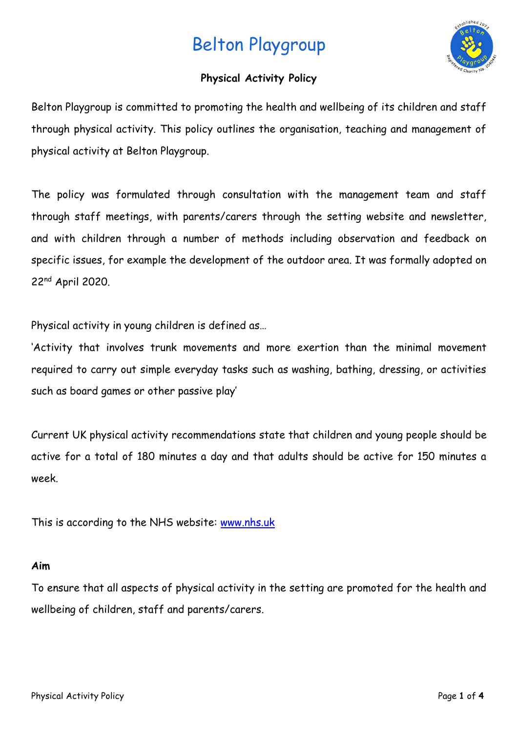

## **Physical Activity Policy**

Belton Playgroup is committed to promoting the health and wellbeing of its children and staff through physical activity. This policy outlines the organisation, teaching and management of physical activity at Belton Playgroup.

The policy was formulated through consultation with the management team and staff through staff meetings, with parents/carers through the setting website and newsletter, and with children through a number of methods including observation and feedback on specific issues, for example the development of the outdoor area. It was formally adopted on 22nd April 2020.

Physical activity in young children is defined as…

'Activity that involves trunk movements and more exertion than the minimal movement required to carry out simple everyday tasks such as washing, bathing, dressing, or activities such as board games or other passive play'

Current UK physical activity recommendations state that children and young people should be active for a total of 180 minutes a day and that adults should be active for 150 minutes a week.

This is according to the NHS website: [www.nhs.uk](http://www.nhs.uk/)

## **Aim**

To ensure that all aspects of physical activity in the setting are promoted for the health and wellbeing of children, staff and parents/carers.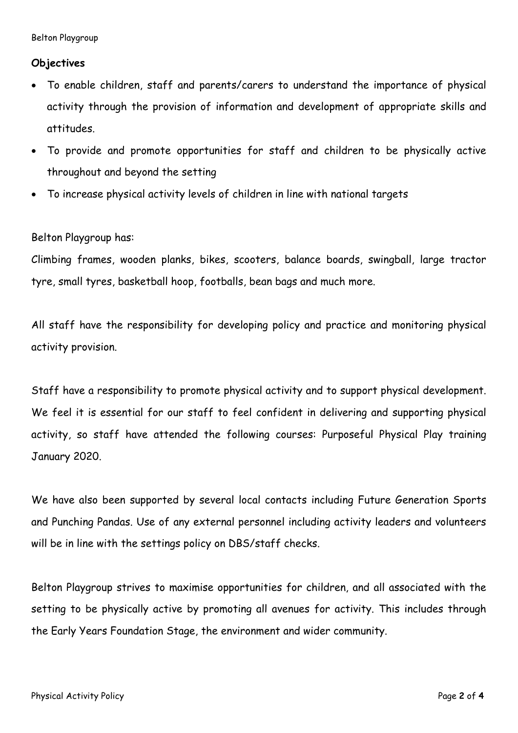### **Objectives**

- To enable children, staff and parents/carers to understand the importance of physical activity through the provision of information and development of appropriate skills and attitudes.
- To provide and promote opportunities for staff and children to be physically active throughout and beyond the setting
- To increase physical activity levels of children in line with national targets

### Belton Playgroup has:

Climbing frames, wooden planks, bikes, scooters, balance boards, swingball, large tractor tyre, small tyres, basketball hoop, footballs, bean bags and much more.

All staff have the responsibility for developing policy and practice and monitoring physical activity provision.

Staff have a responsibility to promote physical activity and to support physical development. We feel it is essential for our staff to feel confident in delivering and supporting physical activity, so staff have attended the following courses: Purposeful Physical Play training January 2020.

We have also been supported by several local contacts including Future Generation Sports and Punching Pandas. Use of any external personnel including activity leaders and volunteers will be in line with the settings policy on DBS/staff checks.

Belton Playgroup strives to maximise opportunities for children, and all associated with the setting to be physically active by promoting all avenues for activity. This includes through the Early Years Foundation Stage, the environment and wider community.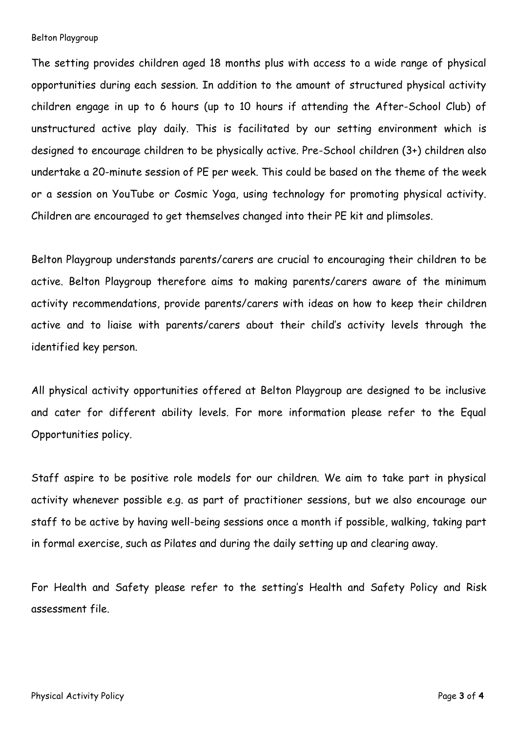The setting provides children aged 18 months plus with access to a wide range of physical opportunities during each session. In addition to the amount of structured physical activity children engage in up to 6 hours (up to 10 hours if attending the After-School Club) of unstructured active play daily. This is facilitated by our setting environment which is designed to encourage children to be physically active. Pre-School children (3+) children also undertake a 20-minute session of PE per week. This could be based on the theme of the week or a session on YouTube or Cosmic Yoga, using technology for promoting physical activity. Children are encouraged to get themselves changed into their PE kit and plimsoles.

Belton Playgroup understands parents/carers are crucial to encouraging their children to be active. Belton Playgroup therefore aims to making parents/carers aware of the minimum activity recommendations, provide parents/carers with ideas on how to keep their children active and to liaise with parents/carers about their child's activity levels through the identified key person.

All physical activity opportunities offered at Belton Playgroup are designed to be inclusive and cater for different ability levels. For more information please refer to the Equal Opportunities policy.

Staff aspire to be positive role models for our children. We aim to take part in physical activity whenever possible e.g. as part of practitioner sessions, but we also encourage our staff to be active by having well-being sessions once a month if possible, walking, taking part in formal exercise, such as Pilates and during the daily setting up and clearing away.

For Health and Safety please refer to the setting's Health and Safety Policy and Risk assessment file.